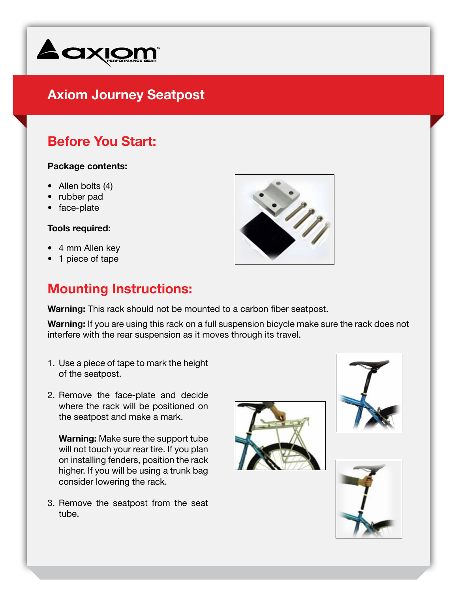

# **Axiom Journey Seatpost**

## **Before You Start:**

#### **Package contents:**

- Allen bolts (4)
- rubber pad
- face-plate

#### **Tools required:**

- 4 mm Allen key
- 1 piece of tape

### **Mounting Instructions:**

**Warning:** This rack should not be mounted to a carbon fiber seatpost.

**Warning:** If you are using this rack on a full suspension bicycle make sure the rack does not interfere with the rear suspension as it moves through its travel.

- 1. Use a piece of tape to mark the height of the seatpost.
- 2. Remove the face-plate and decide where the rack will be positioned on the seatpost and make a mark.

**Warning:** Make sure the support tube will not touch your rear tire. If you plan on installing fenders, position the rack higher. If you will be using a trunk bag consider lowering the rack.

3. Remove the seatpost from the seat tube.







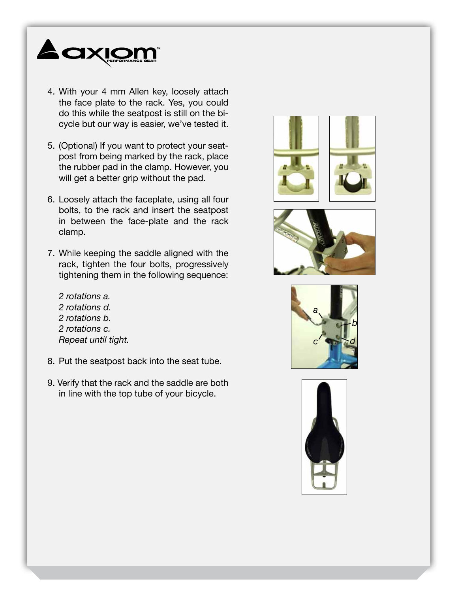

- 4. With your 4 mm Allen key, loosely attach the face plate to the rack. Yes, you could do this while the seatpost is still on the bicycle but our way is easier, we've tested it.
- 5. (Optional) If you want to protect your seatpost from being marked by the rack, place the rubber pad in the clamp. However, you will get a better grip without the pad.
- 6. Loosely attach the faceplate, using all four bolts, to the rack and insert the seatpost in between the face-plate and the rack clamp.
- 7. While keeping the saddle aligned with the rack, tighten the four bolts, progressively tightening them in the following sequence:
	- *2 rotations a. 2 rotations d. 2 rotations b. 2 rotations c. Repeat until tight.*
- 8. Put the seatpost back into the seat tube.
- 9. Verify that the rack and the saddle are both in line with the top tube of your bicycle.